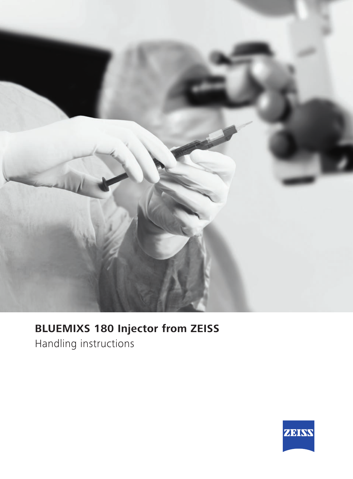

## **BLUEMIXS 180 Injector from ZEISS**

Handling instructions